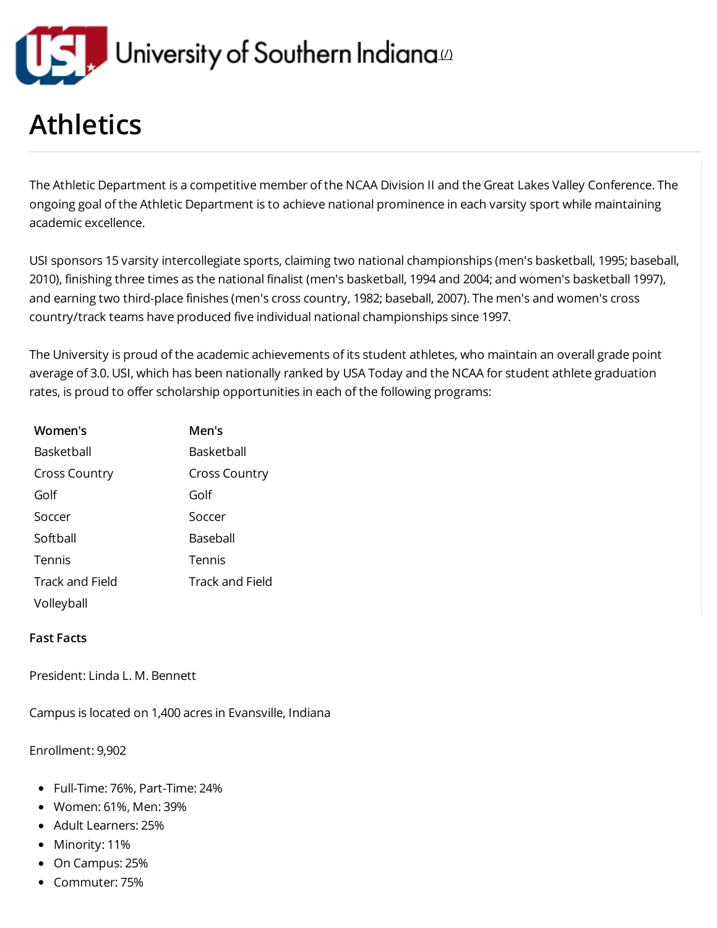

## Athletics

The Athletic Department is a competitive member of the NCAA Division II and the Great Lakes Valley Conference. The ongoing goal of the Athletic Department is to achieve national prominence in each varsity sport while maintaining academic excellence.

USI sponsors 15 varsity intercollegiate sports, claiming two national championships (men's basketball, 1995; baseball, 2010), finishing three times as the national finalist (men's basketball, 1994 and 2004; and women's basketball 1997), and earning two third-place finishes (men's cross country, 1982; baseball, 2007). The men's and women's cross country/track teams have produced five individual national championships since 1997.

The University is proud of the academic achievements of its student athletes, who maintain an overall grade point average of 3.0. USI, which has been nationally ranked by USA Today and the NCAA for student athlete graduation rates, is proud to offer scholarship opportunities in each of the following programs:

| Women's         | Men's                  |
|-----------------|------------------------|
| Basketball      | Basketball             |
| Cross Country   | <b>Cross Country</b>   |
| Golf            | Golf                   |
| Soccer          | Soccer                 |
| Softball        | Baseball               |
| Tennis          | Tennis                 |
| Track and Field | <b>Track and Field</b> |
| Volleyball      |                        |

## Fast Facts

President: Linda L. M. Bennett

Campus is located on 1,400 acres in Evansville, Indiana

Enrollment: 9,902

- Full-Time: 76%, Part-Time: 24%
- Women: 61%, Men: 39%
- Adult Learners: 25%
- Minority: 11%
- On Campus: 25%
- Commuter: 75%